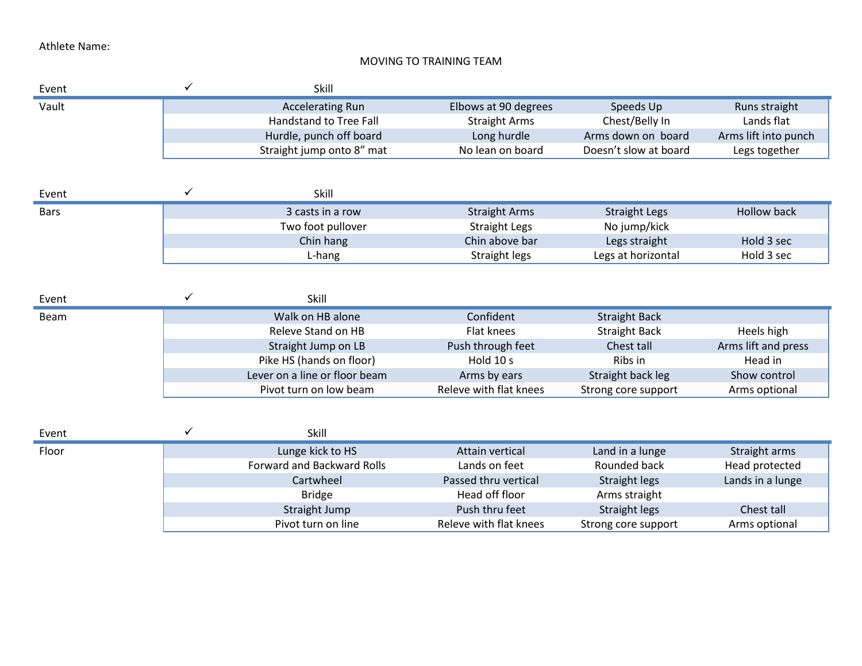## MOVING TO TRAINING TEAM

| Event       | ✓ | Skill                             |                        |                       |                      |
|-------------|---|-----------------------------------|------------------------|-----------------------|----------------------|
| Vault       |   | <b>Accelerating Run</b>           | Elbows at 90 degrees   | Speeds Up             | Runs straight        |
|             |   | <b>Handstand to Tree Fall</b>     | <b>Straight Arms</b>   | Chest/Belly In        | Lands flat           |
|             |   | Hurdle, punch off board           | Long hurdle            | Arms down on board    | Arms lift into punch |
|             |   | Straight jump onto 8" mat         | No lean on board       | Doesn't slow at board | Legs together        |
|             |   |                                   |                        |                       |                      |
| Event       | ✓ | Skill                             |                        |                       |                      |
| <b>Bars</b> |   | 3 casts in a row                  | <b>Straight Arms</b>   | <b>Straight Legs</b>  | <b>Hollow back</b>   |
|             |   | Two foot pullover                 | <b>Straight Legs</b>   | No jump/kick          |                      |
|             |   | Chin hang                         | Chin above bar         | Legs straight         | Hold 3 sec           |
|             |   | L-hang                            | <b>Straight legs</b>   | Legs at horizontal    | Hold 3 sec           |
|             |   |                                   |                        |                       |                      |
| Event       | ✓ | Skill                             |                        |                       |                      |
| <b>Beam</b> |   | Walk on HB alone                  | Confident              | <b>Straight Back</b>  |                      |
|             |   | Releve Stand on HB                | Flat knees             | <b>Straight Back</b>  | Heels high           |
|             |   | Straight Jump on LB               | Push through feet      | Chest tall            | Arms lift and press  |
|             |   | Pike HS (hands on floor)          | Hold 10 s              | Ribs in               | Head in              |
|             |   | Lever on a line or floor beam     | Arms by ears           | Straight back leg     | Show control         |
|             |   | Pivot turn on low beam            | Releve with flat knees | Strong core support   | Arms optional        |
|             |   |                                   |                        |                       |                      |
| Event       | ✓ | Skill                             |                        |                       |                      |
| Floor       |   | Lunge kick to HS                  | <b>Attain vertical</b> | Land in a lunge       | Straight arms        |
|             |   | <b>Forward and Backward Rolls</b> | Lands on feet          | Rounded back          | Head protected       |
|             |   | Cartwheel                         | Passed thru vertical   | Straight legs         | Lands in a lunge     |
|             |   | <b>Bridge</b>                     | Head off floor         | Arms straight         |                      |
|             |   | Straight Jump                     | Push thru feet         | <b>Straight legs</b>  | Chest tall           |
|             |   | Pivot turn on line                | Releve with flat knees | Strong core support   | Arms optional        |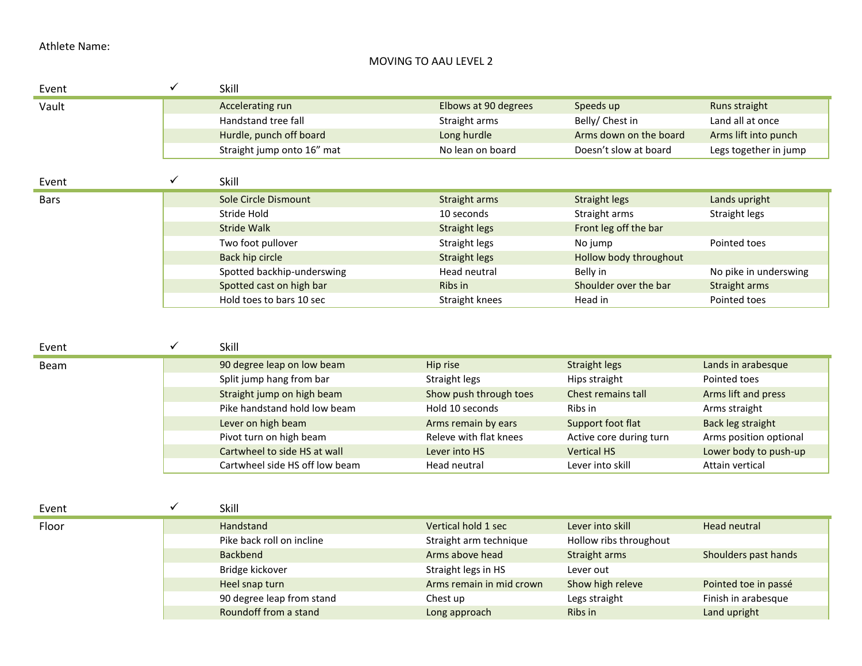# MOVING TO AAU LEVEL 2

| Event         | $\checkmark$ | Skill                                                      |                                         |                                               |                                                 |
|---------------|--------------|------------------------------------------------------------|-----------------------------------------|-----------------------------------------------|-------------------------------------------------|
| Vault         |              | Accelerating run                                           | Elbows at 90 degrees                    | Speeds up                                     | Runs straight                                   |
|               |              | Handstand tree fall                                        | Straight arms                           | Belly/ Chest in                               | Land all at once                                |
|               |              | Hurdle, punch off board                                    | Long hurdle                             | Arms down on the board                        | Arms lift into punch                            |
|               |              | Straight jump onto 16" mat                                 | No lean on board                        | Doesn't slow at board                         | Legs together in jump                           |
| Event         | ✓            | Skill                                                      |                                         |                                               |                                                 |
| <b>Bars</b>   |              | Sole Circle Dismount                                       | Straight arms                           | <b>Straight legs</b>                          | Lands upright                                   |
|               |              | Stride Hold                                                | 10 seconds                              | Straight arms                                 | Straight legs                                   |
|               |              | <b>Stride Walk</b>                                         | <b>Straight legs</b>                    | Front leg off the bar                         |                                                 |
|               |              | Two foot pullover                                          | Straight legs                           | No jump                                       | Pointed toes                                    |
|               |              | <b>Back hip circle</b>                                     | <b>Straight legs</b>                    | Hollow body throughout                        |                                                 |
|               |              | Spotted backhip-underswing                                 | Head neutral                            | Belly in                                      | No pike in underswing                           |
|               |              | Spotted cast on high bar                                   | Ribs in                                 | Shoulder over the bar                         | Straight arms                                   |
|               |              | Hold toes to bars 10 sec                                   | Straight knees                          | Head in                                       | Pointed toes                                    |
| Event<br>Beam | $\checkmark$ | Skill<br>90 degree leap on low beam                        | Hip rise                                | <b>Straight legs</b>                          | Lands in arabesque                              |
|               |              |                                                            |                                         |                                               |                                                 |
|               |              | Split jump hang from bar                                   | Straight legs                           | Hips straight                                 | Pointed toes                                    |
|               |              | Straight jump on high beam<br>Pike handstand hold low beam | Show push through toes                  | Chest remains tall<br>Ribs in                 | Arms lift and press                             |
|               |              |                                                            | Hold 10 seconds                         |                                               | Arms straight                                   |
|               |              | Lever on high beam                                         | Arms remain by ears                     | Support foot flat                             | Back leg straight                               |
|               |              | Pivot turn on high beam<br>Cartwheel to side HS at wall    | Releve with flat knees<br>Lever into HS | Active core during turn<br><b>Vertical HS</b> | Arms position optional<br>Lower body to push-up |
|               |              | Cartwheel side HS off low beam                             | Head neutral                            | Lever into skill                              | Attain vertical                                 |
|               |              |                                                            |                                         |                                               |                                                 |
| Event         | $\checkmark$ | Skill                                                      |                                         |                                               |                                                 |
| Floor         |              | Handstand                                                  | Vertical hold 1 sec                     | Lever into skill                              | <b>Head neutral</b>                             |
|               |              | Pike back roll on incline                                  | Straight arm technique                  | Hollow ribs throughout                        |                                                 |
|               |              | <b>Backbend</b>                                            | Arms above head                         | Straight arms                                 | Shoulders past hands                            |
|               |              | Bridge kickover                                            | Straight legs in HS                     | Lever out                                     |                                                 |
|               |              | Heel snap turn                                             | Arms remain in mid crown                | Show high releve                              | Pointed toe in passé                            |
|               |              | 90 degree leap from stand                                  | Chest up                                | Legs straight                                 | Finish in arabesque                             |
|               |              | Roundoff from a stand                                      | Long approach                           | Ribs in                                       | Land upright                                    |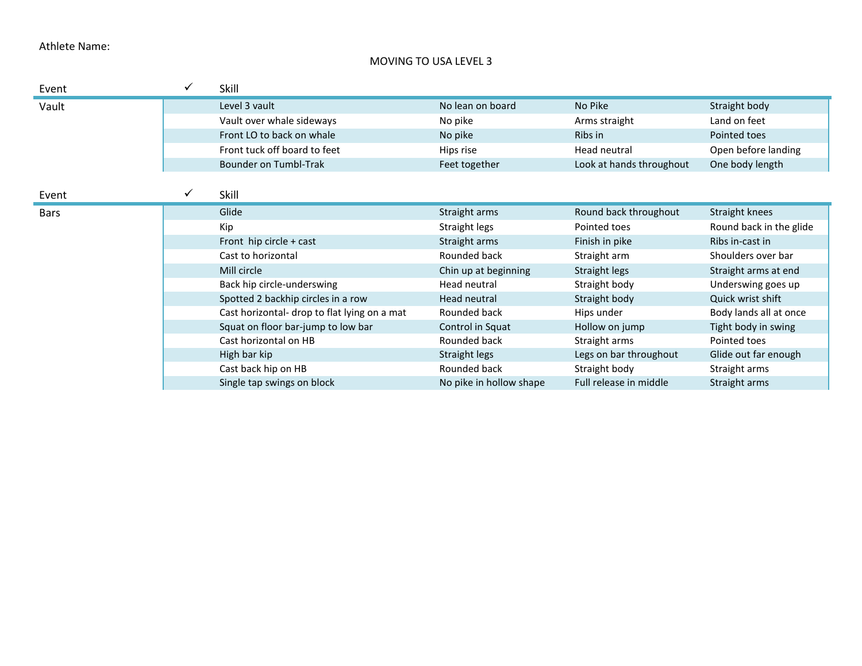## MOVING TO USA LEVEL 3

| Event       | ✓ | Skill                                        |                         |                          |                         |
|-------------|---|----------------------------------------------|-------------------------|--------------------------|-------------------------|
| Vault       |   | Level 3 vault                                | No lean on board        | No Pike                  | Straight body           |
|             |   | Vault over whale sideways                    | No pike                 | Arms straight            | Land on feet            |
|             |   | Front LO to back on whale                    | No pike                 | Ribs in                  | Pointed toes            |
|             |   | Front tuck off board to feet                 | Hips rise               | Head neutral             | Open before landing     |
|             |   | <b>Bounder on Tumbl-Trak</b>                 | Feet together           | Look at hands throughout | One body length         |
|             |   |                                              |                         |                          |                         |
| Event       | ✓ | Skill                                        |                         |                          |                         |
| <b>Bars</b> |   | Glide                                        | Straight arms           | Round back throughout    | Straight knees          |
|             |   | Kip                                          | Straight legs           | Pointed toes             | Round back in the glide |
|             |   | Front hip circle + cast                      | Straight arms           | Finish in pike           | Ribs in-cast in         |
|             |   | Cast to horizontal                           | Rounded back            | Straight arm             | Shoulders over bar      |
|             |   | Mill circle                                  | Chin up at beginning    | Straight legs            | Straight arms at end    |
|             |   | Back hip circle-underswing                   | Head neutral            | Straight body            | Underswing goes up      |
|             |   | Spotted 2 backhip circles in a row           | Head neutral            | Straight body            | Quick wrist shift       |
|             |   | Cast horizontal- drop to flat lying on a mat | Rounded back            | Hips under               | Body lands all at once  |
|             |   | Squat on floor bar-jump to low bar           | Control in Squat        | Hollow on jump           | Tight body in swing     |
|             |   | Cast horizontal on HB                        | Rounded back            | Straight arms            | Pointed toes            |
|             |   | High bar kip                                 | Straight legs           | Legs on bar throughout   | Glide out far enough    |
|             |   | Cast back hip on HB                          | Rounded back            | Straight body            | Straight arms           |
|             |   | Single tap swings on block                   | No pike in hollow shape | Full release in middle   | Straight arms           |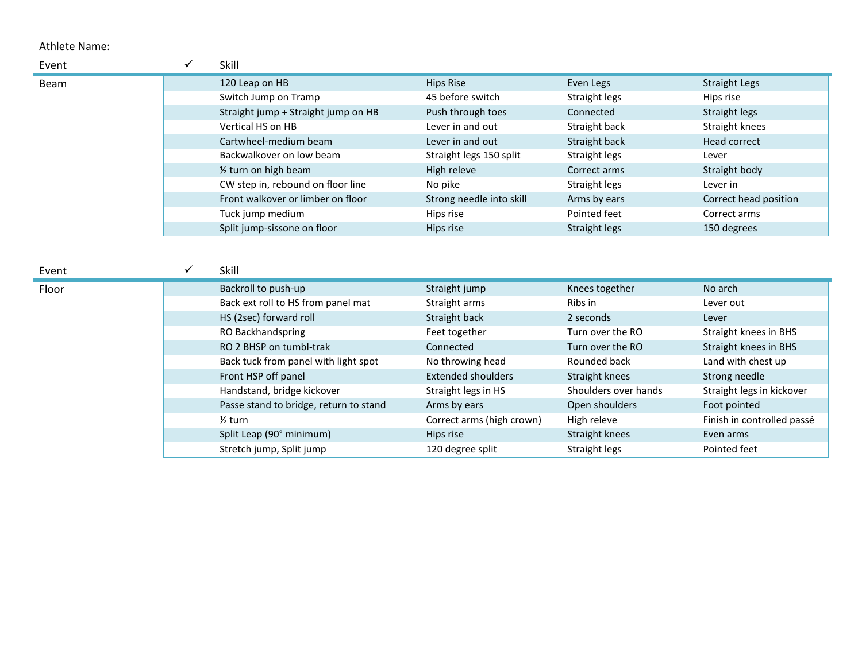| Event       | Skill                               |                          |               |                       |
|-------------|-------------------------------------|--------------------------|---------------|-----------------------|
| <b>Beam</b> | 120 Leap on HB                      | Hips Rise                | Even Legs     | <b>Straight Legs</b>  |
|             | Switch Jump on Tramp                | 45 before switch         | Straight legs | Hips rise             |
|             | Straight jump + Straight jump on HB | Push through toes        | Connected     | Straight legs         |
|             | Vertical HS on HB                   | Lever in and out         | Straight back | Straight knees        |
|             | Cartwheel-medium beam               | Lever in and out         | Straight back | Head correct          |
|             | Backwalkover on low beam            | Straight legs 150 split  | Straight legs | Lever                 |
|             | $\frac{1}{2}$ turn on high beam     | High releve              | Correct arms  | Straight body         |
|             | CW step in, rebound on floor line   | No pike                  | Straight legs | Lever in              |
|             | Front walkover or limber on floor   | Strong needle into skill | Arms by ears  | Correct head position |
|             | Tuck jump medium                    | Hips rise                | Pointed feet  | Correct arms          |
|             | Split jump-sissone on floor         | Hips rise                | Straight legs | 150 degrees           |

|  | M.<br>۰. |  |
|--|----------|--|
|  |          |  |
|  |          |  |

| Event | Skill                                  |                           |                      |                            |
|-------|----------------------------------------|---------------------------|----------------------|----------------------------|
| Floor | Backroll to push-up                    | Straight jump             | Knees together       | No arch                    |
|       | Back ext roll to HS from panel mat     | Straight arms             | Ribs in              | Lever out                  |
|       | HS (2sec) forward roll                 | Straight back             | 2 seconds            | Lever                      |
|       | RO Backhandspring                      | Feet together             | Turn over the RO     | Straight knees in BHS      |
|       | RO 2 BHSP on tumbl-trak                | Connected                 | Turn over the RO     | Straight knees in BHS      |
|       | Back tuck from panel with light spot   | No throwing head          | Rounded back         | Land with chest up         |
|       | Front HSP off panel                    | <b>Extended shoulders</b> | Straight knees       | Strong needle              |
|       | Handstand, bridge kickover             | Straight legs in HS       | Shoulders over hands | Straight legs in kickover  |
|       | Passe stand to bridge, return to stand | Arms by ears              | Open shoulders       | Foot pointed               |
|       | $\frac{1}{2}$ turn                     | Correct arms (high crown) | High releve          | Finish in controlled passé |
|       | Split Leap (90° minimum)               | Hips rise                 | Straight knees       | Even arms                  |
|       | Stretch jump, Split jump               | 120 degree split          | Straight legs        | Pointed feet               |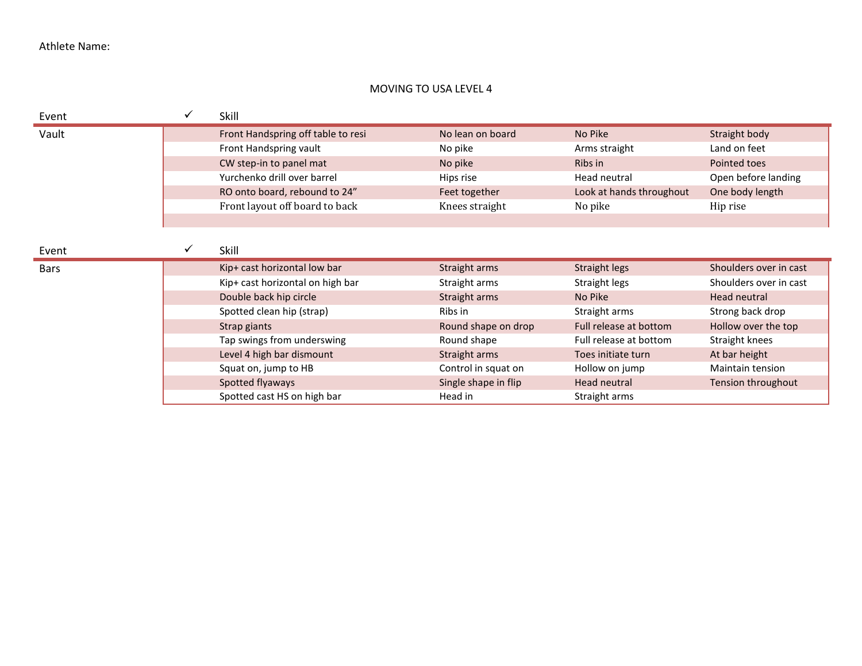# MOVING TO USA LEVEL 4

# Event  $\checkmark$  Skill

| Vault | Front Handspring off table to resi | No lean on board | No Pike                  | Straight body       |
|-------|------------------------------------|------------------|--------------------------|---------------------|
|       | Front Handspring vault             | No pike          | Arms straight            | Land on feet        |
|       | CW step-in to panel mat            | No pike          | Ribs in                  | Pointed toes        |
|       | Yurchenko drill over barrel        | Hips rise        | Head neutral             | Open before landing |
|       | RO onto board, rebound to 24"      | Feet together    | Look at hands throughout | One body length     |
|       | Front layout off board to back     | Knees straight   | No pike                  | Hip rise            |
|       |                                    |                  |                          |                     |

Event

| Event       | Skill                            |                      |                        |                        |
|-------------|----------------------------------|----------------------|------------------------|------------------------|
| <b>Bars</b> | Kip+ cast horizontal low bar     | Straight arms        | Straight legs          | Shoulders over in cast |
|             | Kip+ cast horizontal on high bar | Straight arms        | Straight legs          | Shoulders over in cast |
|             | Double back hip circle           | Straight arms        | No Pike                | Head neutral           |
|             | Spotted clean hip (strap)        | Ribs in              | Straight arms          | Strong back drop       |
|             | Strap giants                     | Round shape on drop  | Full release at bottom | Hollow over the top    |
|             | Tap swings from underswing       | Round shape          | Full release at bottom | Straight knees         |
|             | Level 4 high bar dismount        | Straight arms        | Toes initiate turn     | At bar height          |
|             | Squat on, jump to HB             | Control in squat on  | Hollow on jump         | Maintain tension       |
|             | Spotted flyaways                 | Single shape in flip | Head neutral           | Tension throughout     |
|             | Spotted cast HS on high bar      | Head in              | Straight arms          |                        |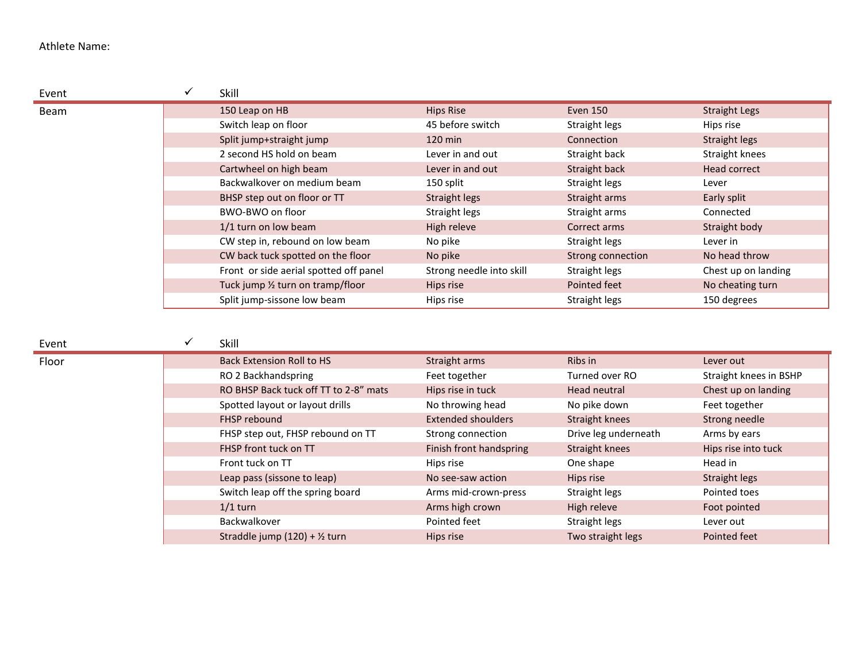| Event       | Skill                                  |                          |                   |                      |
|-------------|----------------------------------------|--------------------------|-------------------|----------------------|
| <b>Beam</b> | 150 Leap on HB                         | <b>Hips Rise</b>         | Even 150          | <b>Straight Legs</b> |
|             | Switch leap on floor                   | 45 before switch         | Straight legs     | Hips rise            |
|             | Split jump+straight jump               | $120 \text{ min}$        | Connection        | Straight legs        |
|             | 2 second HS hold on beam               | Lever in and out         | Straight back     | Straight knees       |
|             | Cartwheel on high beam                 | Lever in and out         | Straight back     | Head correct         |
|             | Backwalkover on medium beam            | 150 split                | Straight legs     | Lever                |
|             | BHSP step out on floor or TT           | Straight legs            | Straight arms     | Early split          |
|             | BWO-BWO on floor                       | Straight legs            | Straight arms     | Connected            |
|             | 1/1 turn on low beam                   | High releve              | Correct arms      | Straight body        |
|             | CW step in, rebound on low beam        | No pike                  | Straight legs     | Lever in             |
|             | CW back tuck spotted on the floor      | No pike                  | Strong connection | No head throw        |
|             | Front or side aerial spotted off panel | Strong needle into skill | Straight legs     | Chest up on landing  |
|             | Tuck jump 1/2 turn on tramp/floor      | Hips rise                | Pointed feet      | No cheating turn     |
|             | Split jump-sissone low beam            | Hips rise                | Straight legs     | 150 degrees          |

### Event < Skill

| Floor | <b>Back Extension Roll to HS</b>         | Straight arms             | Ribs in              | Lever out              |
|-------|------------------------------------------|---------------------------|----------------------|------------------------|
|       | RO 2 Backhandspring                      | Feet together             | Turned over RO       | Straight knees in BSHP |
|       | RO BHSP Back tuck off TT to 2-8" mats    | Hips rise in tuck         | Head neutral         | Chest up on landing    |
|       | Spotted layout or layout drills          | No throwing head          | No pike down         | Feet together          |
|       | FHSP rebound                             | <b>Extended shoulders</b> | Straight knees       | Strong needle          |
|       | FHSP step out, FHSP rebound on TT        | Strong connection         | Drive leg underneath | Arms by ears           |
|       | FHSP front tuck on TT                    | Finish front handspring   | Straight knees       | Hips rise into tuck    |
|       | Front tuck on TT                         | Hips rise                 | One shape            | Head in                |
|       | Leap pass (sissone to leap)              | No see-saw action         | Hips rise            | Straight legs          |
|       | Switch leap off the spring board         | Arms mid-crown-press      | Straight legs        | Pointed toes           |
|       | $1/1$ turn                               | Arms high crown           | High releve          | Foot pointed           |
|       | Backwalkover                             | Pointed feet              | Straight legs        | Lever out              |
|       | Straddle jump (120) + $\frac{1}{2}$ turn | Hips rise                 | Two straight legs    | Pointed feet           |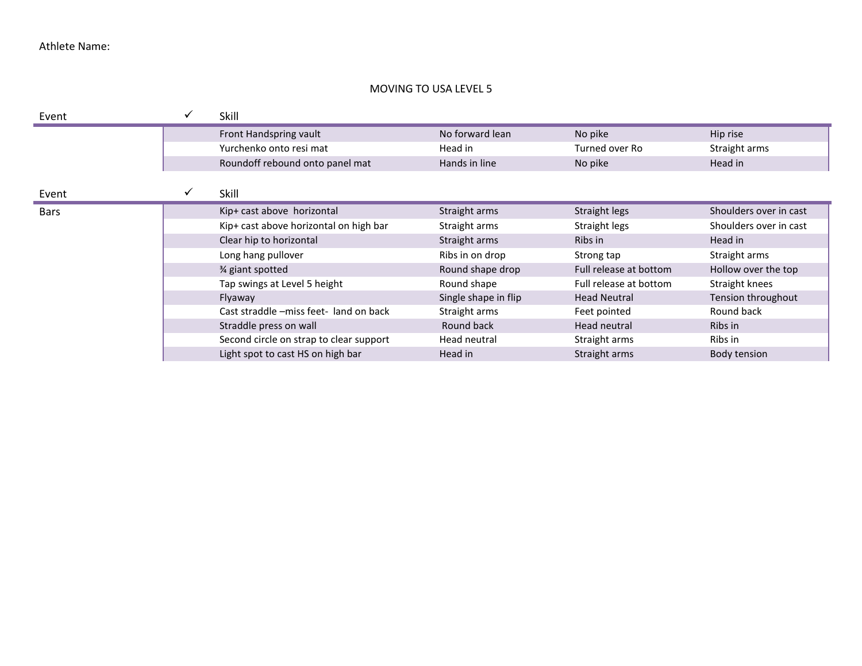### MOVING TO USA LEVEL 5

| Event       | ✓ | Skill                                   |                      |                        |                        |
|-------------|---|-----------------------------------------|----------------------|------------------------|------------------------|
|             |   | Front Handspring vault                  | No forward lean      | No pike                | Hip rise               |
|             |   | Yurchenko onto resi mat                 | Head in              | Turned over Ro         | Straight arms          |
|             |   | Roundoff rebound onto panel mat         | Hands in line        | No pike                | Head in                |
|             |   |                                         |                      |                        |                        |
| Event       | ✓ | Skill                                   |                      |                        |                        |
| <b>Bars</b> |   | Kip+ cast above horizontal              | Straight arms        | Straight legs          | Shoulders over in cast |
|             |   | Kip+ cast above horizontal on high bar  | Straight arms        | Straight legs          | Shoulders over in cast |
|             |   | Clear hip to horizontal                 | Straight arms        | Ribs in                | Head in                |
|             |   | Long hang pullover                      | Ribs in on drop      | Strong tap             | Straight arms          |
|             |   | 3⁄4 giant spotted                       | Round shape drop     | Full release at bottom | Hollow over the top    |
|             |   | Tap swings at Level 5 height            | Round shape          | Full release at bottom | Straight knees         |
|             |   | Flyaway                                 | Single shape in flip | <b>Head Neutral</b>    | Tension throughout     |
|             |   | Cast straddle -miss feet- land on back  | Straight arms        | Feet pointed           | Round back             |
|             |   | Straddle press on wall                  | Round back           | Head neutral           | Ribs in                |
|             |   | Second circle on strap to clear support | Head neutral         | Straight arms          | Ribs in                |
|             |   | Light spot to cast HS on high bar       | Head in              | Straight arms          | Body tension           |